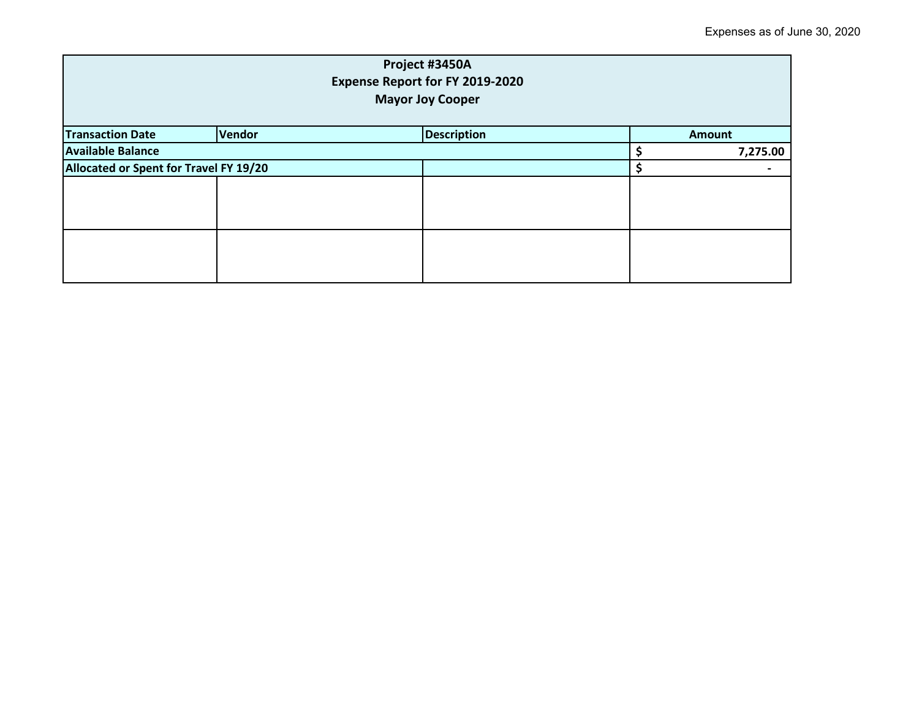| Project #3450A<br><b>Expense Report for FY 2019-2020</b><br><b>Mayor Joy Cooper</b> |               |                    |  |               |  |
|-------------------------------------------------------------------------------------|---------------|--------------------|--|---------------|--|
| <b>Transaction Date</b>                                                             | <b>Vendor</b> | <b>Description</b> |  | <b>Amount</b> |  |
| <b>Available Balance</b>                                                            |               |                    |  | 7,275.00      |  |
| Allocated or Spent for Travel FY 19/20                                              |               |                    |  |               |  |
|                                                                                     |               |                    |  |               |  |
|                                                                                     |               |                    |  |               |  |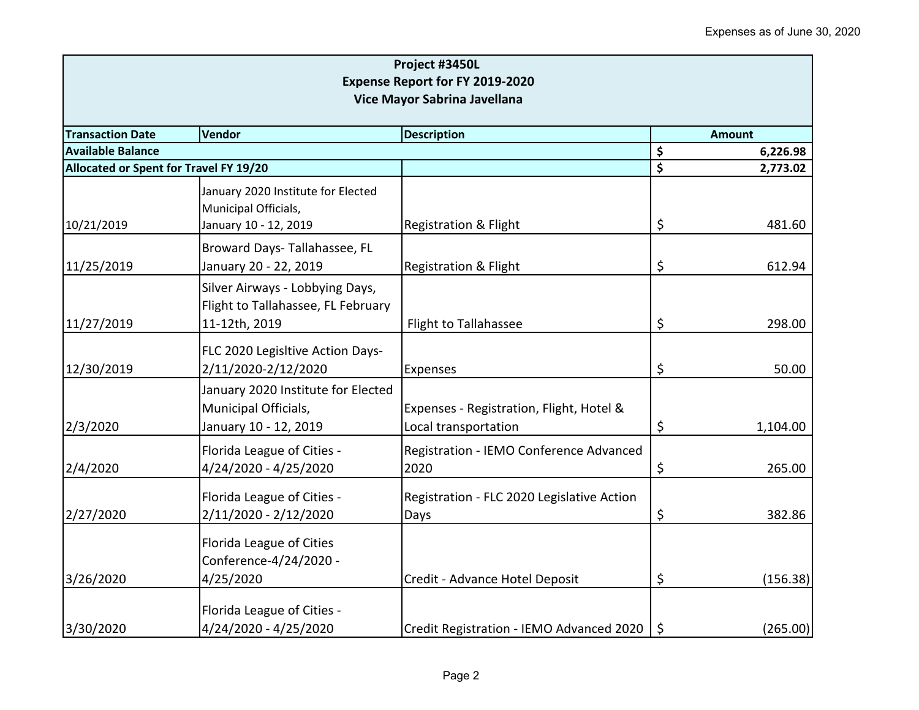| Project #3450L<br><b>Expense Report for FY 2019-2020</b><br>Vice Mayor Sabrina Javellana |                                                                                     |                                                                  |         |          |  |
|------------------------------------------------------------------------------------------|-------------------------------------------------------------------------------------|------------------------------------------------------------------|---------|----------|--|
|                                                                                          |                                                                                     |                                                                  |         |          |  |
| <b>Available Balance</b>                                                                 |                                                                                     |                                                                  | \$      | 6,226.98 |  |
| Allocated or Spent for Travel FY 19/20                                                   |                                                                                     |                                                                  | \$      | 2,773.02 |  |
|                                                                                          | January 2020 Institute for Elected<br>Municipal Officials,                          |                                                                  |         |          |  |
| 10/21/2019                                                                               | January 10 - 12, 2019                                                               | <b>Registration &amp; Flight</b>                                 | \$      | 481.60   |  |
| 11/25/2019                                                                               | Broward Days-Tallahassee, FL<br>January 20 - 22, 2019                               | <b>Registration &amp; Flight</b>                                 | \$      | 612.94   |  |
|                                                                                          | Silver Airways - Lobbying Days,<br>Flight to Tallahassee, FL February               |                                                                  |         |          |  |
| 11/27/2019                                                                               | 11-12th, 2019                                                                       | Flight to Tallahassee                                            | \$      | 298.00   |  |
| 12/30/2019                                                                               | FLC 2020 Legisltive Action Days-<br>2/11/2020-2/12/2020                             | <b>Expenses</b>                                                  | \$      | 50.00    |  |
| 2/3/2020                                                                                 | January 2020 Institute for Elected<br>Municipal Officials,<br>January 10 - 12, 2019 | Expenses - Registration, Flight, Hotel &<br>Local transportation | \$      | 1,104.00 |  |
| 2/4/2020                                                                                 | Florida League of Cities -<br>4/24/2020 - 4/25/2020                                 | Registration - IEMO Conference Advanced<br>2020                  | \$      | 265.00   |  |
| 2/27/2020                                                                                | Florida League of Cities -<br>2/11/2020 - 2/12/2020                                 | Registration - FLC 2020 Legislative Action<br>Days               | \$      | 382.86   |  |
|                                                                                          | Florida League of Cities<br>Conference-4/24/2020 -                                  |                                                                  |         |          |  |
| 3/26/2020                                                                                | 4/25/2020                                                                           | Credit - Advance Hotel Deposit                                   | \$      | (156.38) |  |
| 3/30/2020                                                                                | Florida League of Cities -<br>4/24/2020 - 4/25/2020                                 | Credit Registration - IEMO Advanced 2020                         | $\zeta$ | (265.00) |  |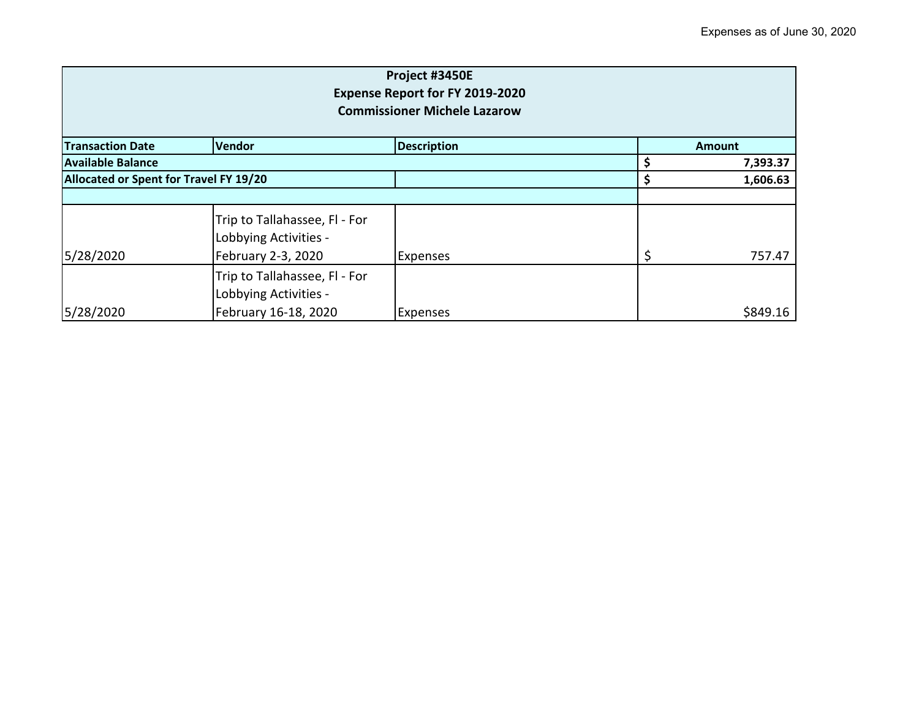| Project #3450E<br><b>Expense Report for FY 2019-2020</b><br><b>Commissioner Michele Lazarow</b> |                                                                              |                    |    |               |
|-------------------------------------------------------------------------------------------------|------------------------------------------------------------------------------|--------------------|----|---------------|
| <b>Transaction Date</b>                                                                         | Vendor                                                                       | <b>Description</b> |    | <b>Amount</b> |
| Available Balance                                                                               |                                                                              |                    |    | 7,393.37      |
| Allocated or Spent for Travel FY 19/20                                                          |                                                                              |                    |    | 1,606.63      |
|                                                                                                 |                                                                              |                    |    |               |
| 5/28/2020                                                                                       | Trip to Tallahassee, Fl - For<br>Lobbying Activities -<br>February 2-3, 2020 | <b>Expenses</b>    | \$ | 757.47        |
|                                                                                                 | Trip to Tallahassee, Fl - For<br>Lobbying Activities -                       |                    |    |               |
| 5/28/2020                                                                                       | February 16-18, 2020                                                         | <b>Expenses</b>    |    | \$849.16      |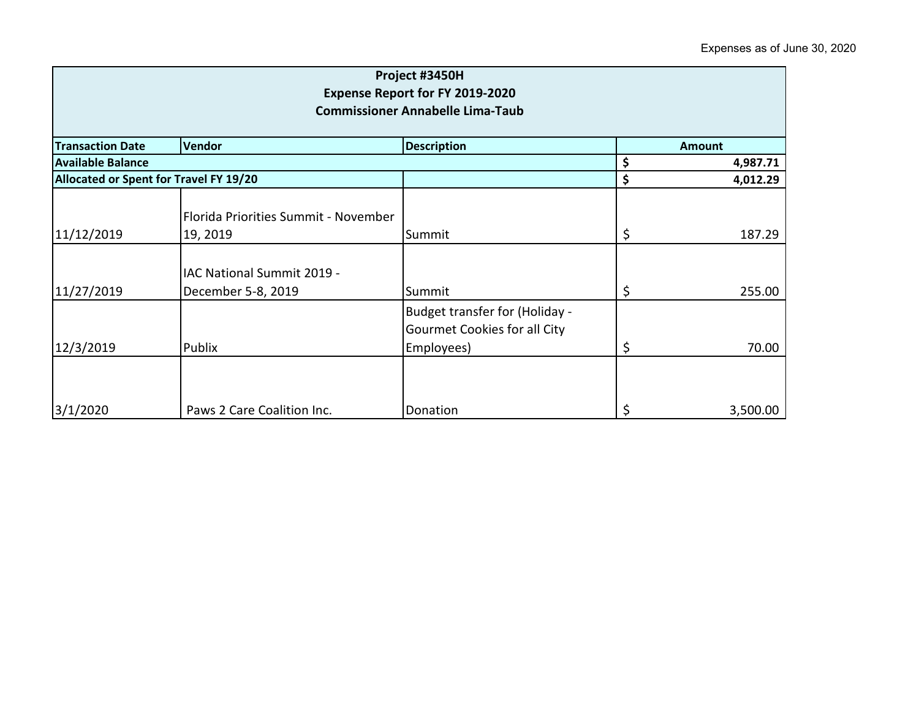| Project #3450H<br><b>Expense Report for FY 2019-2020</b><br><b>Commissioner Annabelle Lima-Taub</b> |                                                  |                                                                              |          |               |  |
|-----------------------------------------------------------------------------------------------------|--------------------------------------------------|------------------------------------------------------------------------------|----------|---------------|--|
| <b>Transaction Date</b>                                                                             | Vendor                                           | <b>Description</b>                                                           |          | <b>Amount</b> |  |
| <b>Available Balance</b>                                                                            |                                                  |                                                                              | \$       | 4,987.71      |  |
| Allocated or Spent for Travel FY 19/20                                                              |                                                  | \$                                                                           | 4,012.29 |               |  |
| 11/12/2019                                                                                          | Florida Priorities Summit - November<br>19, 2019 | Summit                                                                       | \$       | 187.29        |  |
| 11/27/2019                                                                                          | IAC National Summit 2019 -<br>December 5-8, 2019 | Summit                                                                       | \$       | 255.00        |  |
| 12/3/2019                                                                                           | Publix                                           | Budget transfer for (Holiday -<br>Gourmet Cookies for all City<br>Employees) | \$       | 70.00         |  |
| 3/1/2020                                                                                            | Paws 2 Care Coalition Inc.                       | Donation                                                                     | \$       | 3,500.00      |  |